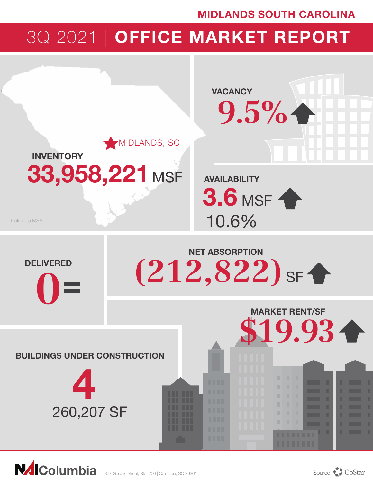## MIDLANDS SOUTH CAROLINA

# 3Q 2021 | OFFICE MARKET REPORT



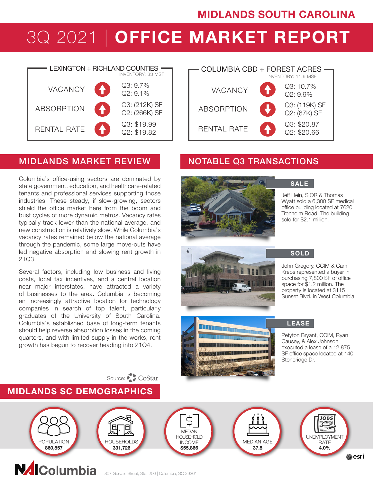## MIDLANDS SOUTH CAROLINA

# 3Q 2021 | OFFICE MARKET REPORT



### MIDLANDS MARKET REVIEW NOTABLE Q3 TRANSACTIONS

Columbia's office-using sectors are dominated by state government, education, and healthcare-related tenants and professional services supporting those industries. These steady, if slow-growing, sectors shield the office market here from the boom and bust cycles of more dynamic metros. Vacancy rates typically track lower than the national average, and new construction is relatively slow. While Columbia's vacancy rates remained below the national average through the pandemic, some large move-outs have led negative absorption and slowing rent growth in 21Q3.

Several factors, including low business and living costs, local tax incentives, and a central location near major interstates, have attracted a variety of businesses to the area. Columbia is becoming an increasingly attractive location for technology companies in search of top talent, particularly graduates of the University of South Carolina. Columbia's established base of long-term tenants should help reverse absorption losses in the coming quarters, and with limited supply in the works, rent growth has begun to recover heading into 21Q4.





**SALE** 

Jeff Hein, SIOR & Thomas Wyatt sold a 6,300 SF medical office building located at 7620 Trenholm Road. The building sold for \$2.1 million.





### SOLD

John Gregory, CCIM & Cam Kreps represented a buyer in purchasing 7,800 SF of office space for \$1.2 million. The property is located at 3115 Sunset Blvd. in West Columbia

LEASE

Petyton Bryant, CCIM, Ryan Causey, & Alex Johnson executed a lease of a 12,875 SF office space located at 140 Stoneridge Dr.



Source: CoStar